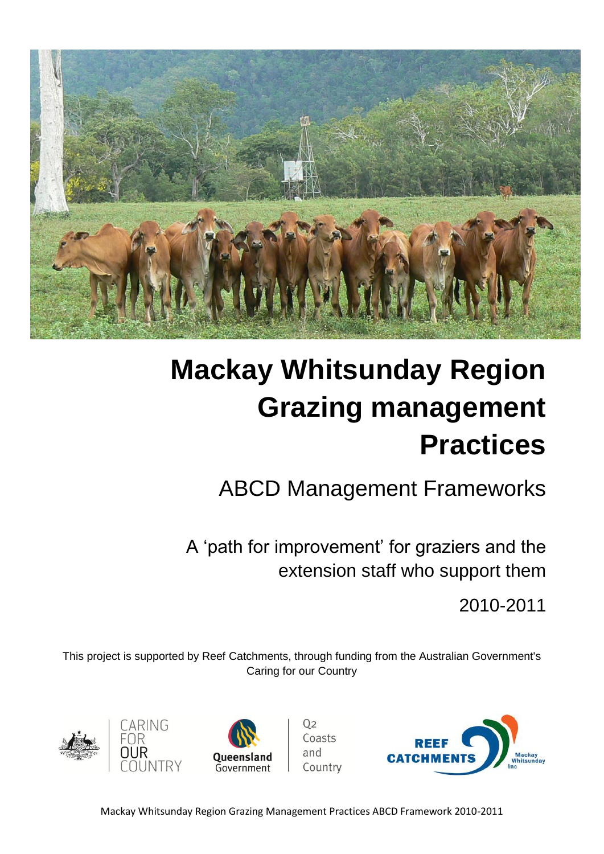

# **Mackay Whitsunday Region Grazing management Practices**

## ABCD Management Frameworks

A 'path for improvement' for graziers and the extension staff who support them

2010-2011

This project is supported by Reef Catchments, through funding from the Australian Government's Caring for our Country



CARING



Coasts and Country

 $0<sub>2</sub>$ 

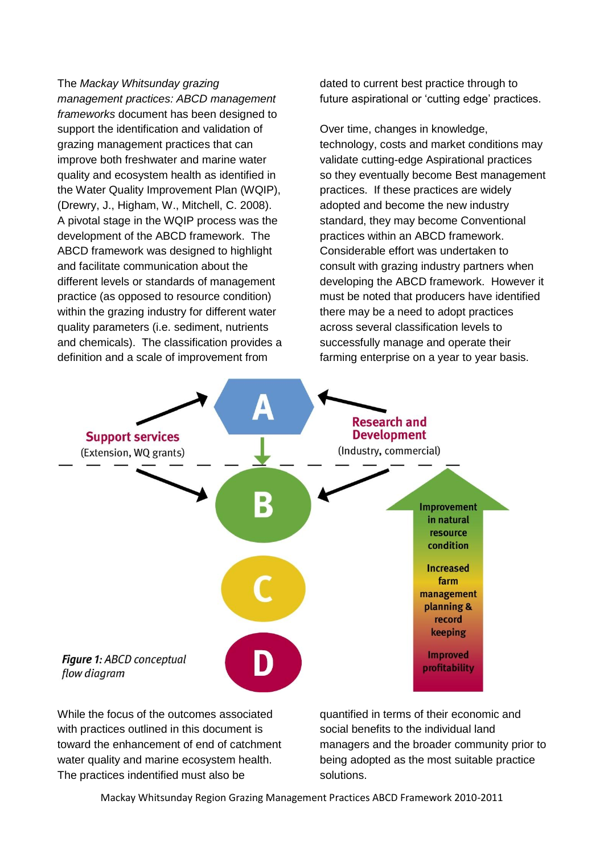The *Mackay Whitsunday grazing management practices: ABCD management frameworks* document has been designed to support the identification and validation of grazing management practices that can improve both freshwater and marine water quality and ecosystem health as identified in the Water Quality Improvement Plan (WQIP), (Drewry, J., Higham, W., Mitchell, C. 2008). A pivotal stage in the WQIP process was the development of the ABCD framework. The ABCD framework was designed to highlight and facilitate communication about the different levels or standards of management practice (as opposed to resource condition) within the grazing industry for different water quality parameters (i.e. sediment, nutrients and chemicals). The classification provides a definition and a scale of improvement from

dated to current best practice through to future aspirational or 'cutting edge' practices.

Over time, changes in knowledge, technology, costs and market conditions may validate cutting-edge Aspirational practices so they eventually become Best management practices. If these practices are widely adopted and become the new industry standard, they may become Conventional practices within an ABCD framework. Considerable effort was undertaken to consult with grazing industry partners when developing the ABCD framework. However it must be noted that producers have identified there may be a need to adopt practices across several classification levels to successfully manage and operate their farming enterprise on a year to year basis.



While the focus of the outcomes associated with practices outlined in this document is toward the enhancement of end of catchment water quality and marine ecosystem health. The practices indentified must also be

quantified in terms of their economic and social benefits to the individual land managers and the broader community prior to being adopted as the most suitable practice solutions.

Mackay Whitsunday Region Grazing Management Practices ABCD Framework 2010-2011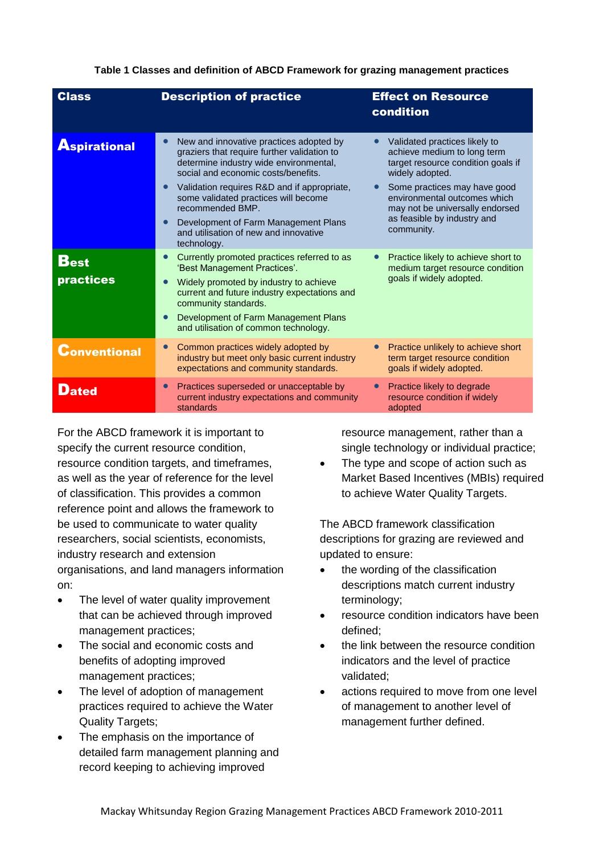**Table 1 Classes and definition of ABCD Framework for grazing management practices**

| <b>Class</b>                           | <b>Description of practice</b>                                                                                                                                                                                                                                                                                                                                                                  | <b>Effect on Resource</b><br>condition                                                                                                                                                                                                                                |
|----------------------------------------|-------------------------------------------------------------------------------------------------------------------------------------------------------------------------------------------------------------------------------------------------------------------------------------------------------------------------------------------------------------------------------------------------|-----------------------------------------------------------------------------------------------------------------------------------------------------------------------------------------------------------------------------------------------------------------------|
| <b>Aspirational</b>                    | New and innovative practices adopted by<br>graziers that require further validation to<br>determine industry wide environmental,<br>social and economic costs/benefits.<br>Validation requires R&D and if appropriate,<br>some validated practices will become<br>recommended BMP.<br>Development of Farm Management Plans<br>$\bullet$<br>and utilisation of new and innovative<br>technology. | Validated practices likely to<br>achieve medium to long term<br>target resource condition goals if<br>widely adopted.<br>Some practices may have good<br>environmental outcomes which<br>may not be universally endorsed<br>as feasible by industry and<br>community. |
| $\mathbf{B_{est}}$<br><b>practices</b> | Currently promoted practices referred to as<br>$\bullet$<br>'Best Management Practices'.<br>Widely promoted by industry to achieve<br>$\bullet$<br>current and future industry expectations and<br>community standards.<br>Development of Farm Management Plans<br>$\bullet$<br>and utilisation of common technology.                                                                           | Practice likely to achieve short to<br>medium target resource condition<br>goals if widely adopted.                                                                                                                                                                   |
| <b>Conventional</b>                    | Common practices widely adopted by<br>$\bullet$<br>industry but meet only basic current industry<br>expectations and community standards.                                                                                                                                                                                                                                                       | Practice unlikely to achieve short<br>term target resource condition<br>goals if widely adopted.                                                                                                                                                                      |
| Dated                                  | Practices superseded or unacceptable by<br>$\bullet$<br>current industry expectations and community<br>standards                                                                                                                                                                                                                                                                                | Practice likely to degrade<br>resource condition if widely<br>adopted                                                                                                                                                                                                 |

For the ABCD framework it is important to specify the current resource condition, resource condition targets, and timeframes, as well as the year of reference for the level of classification. This provides a common reference point and allows the framework to be used to communicate to water quality researchers, social scientists, economists, industry research and extension organisations, and land managers information on:

- The level of water quality improvement that can be achieved through improved management practices;
- The social and economic costs and benefits of adopting improved management practices;
- The level of adoption of management practices required to achieve the Water Quality Targets;
- The emphasis on the importance of detailed farm management planning and record keeping to achieving improved

resource management, rather than a single technology or individual practice;

 The type and scope of action such as Market Based Incentives (MBIs) required to achieve Water Quality Targets.

The ABCD framework classification descriptions for grazing are reviewed and updated to ensure:

- the wording of the classification descriptions match current industry terminology;
- resource condition indicators have been defined;
- the link between the resource condition indicators and the level of practice validated;
- actions required to move from one level of management to another level of management further defined.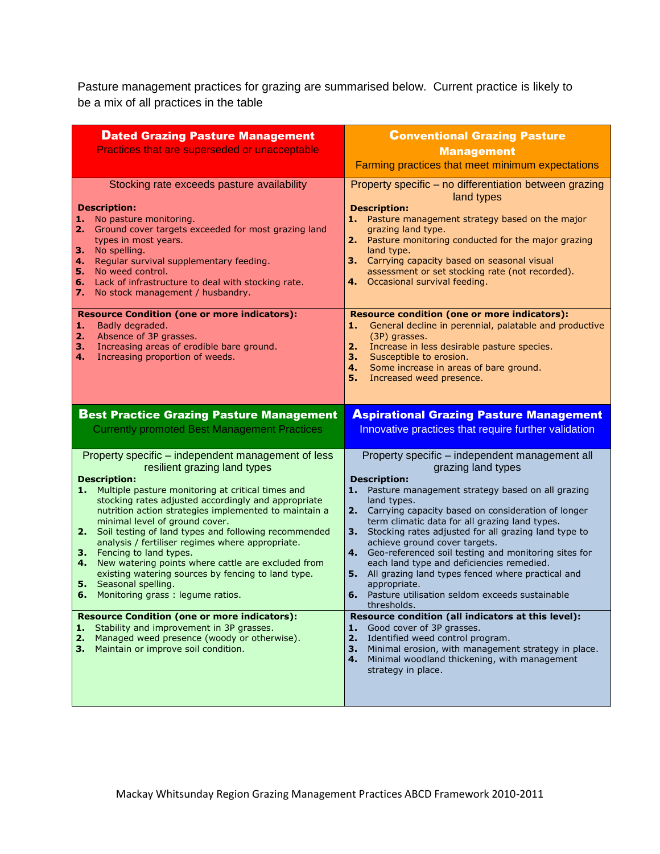Pasture management practices for grazing are summarised below. Current practice is likely to be a mix of all practices in the table

| <b>Dated Grazing Pasture Management</b><br>Practices that are superseded or unacceptable                                                                                                                                                                                                                                                                                                                                                                                                                                                                                                                                                                                                                                                                                                                                    | <b>Conventional Grazing Pasture</b><br><b>Management</b><br>Farming practices that meet minimum expectations                                                                                                                                                                                                                                                                                                                                                                                                                                                                                                                                                                                                                                                                    |
|-----------------------------------------------------------------------------------------------------------------------------------------------------------------------------------------------------------------------------------------------------------------------------------------------------------------------------------------------------------------------------------------------------------------------------------------------------------------------------------------------------------------------------------------------------------------------------------------------------------------------------------------------------------------------------------------------------------------------------------------------------------------------------------------------------------------------------|---------------------------------------------------------------------------------------------------------------------------------------------------------------------------------------------------------------------------------------------------------------------------------------------------------------------------------------------------------------------------------------------------------------------------------------------------------------------------------------------------------------------------------------------------------------------------------------------------------------------------------------------------------------------------------------------------------------------------------------------------------------------------------|
| Stocking rate exceeds pasture availability<br><b>Description:</b><br>No pasture monitoring.<br>1.<br>2.<br>Ground cover targets exceeded for most grazing land<br>types in most years.<br>No spelling.<br>з.<br>Regular survival supplementary feeding.<br>4.<br>5.<br>No weed control.<br>Lack of infrastructure to deal with stocking rate.<br>6.<br>No stock management / husbandry.<br>7.                                                                                                                                                                                                                                                                                                                                                                                                                               | Property specific - no differentiation between grazing<br>land types<br><b>Description:</b><br>1. Pasture management strategy based on the major<br>grazing land type.<br>2. Pasture monitoring conducted for the major grazing<br>land type.<br>3. Carrying capacity based on seasonal visual<br>assessment or set stocking rate (not recorded).<br>4. Occasional survival feeding.                                                                                                                                                                                                                                                                                                                                                                                            |
| <b>Resource Condition (one or more indicators):</b><br>Badly degraded.<br>1.<br>2.<br>Absence of 3P grasses.<br>Increasing areas of erodible bare ground.<br>3.<br>Increasing proportion of weeds.<br>4.                                                                                                                                                                                                                                                                                                                                                                                                                                                                                                                                                                                                                    | <b>Resource condition (one or more indicators):</b><br>General decline in perennial, palatable and productive<br>1.<br>(3P) grasses.<br>Increase in less desirable pasture species.<br>2.<br>Susceptible to erosion.<br>з.<br>Some increase in areas of bare ground.<br>4.<br>5.<br>Increased weed presence.                                                                                                                                                                                                                                                                                                                                                                                                                                                                    |
| <b>Best Practice Grazing Pasture Management</b><br><b>Currently promoted Best Management Practices</b>                                                                                                                                                                                                                                                                                                                                                                                                                                                                                                                                                                                                                                                                                                                      | <b>Aspirational Grazing Pasture Management</b><br>Innovative practices that require further validation                                                                                                                                                                                                                                                                                                                                                                                                                                                                                                                                                                                                                                                                          |
| Property specific – independent management of less<br>resilient grazing land types<br><b>Description:</b><br>1. Multiple pasture monitoring at critical times and<br>stocking rates adjusted accordingly and appropriate<br>nutrition action strategies implemented to maintain a<br>minimal level of ground cover.<br>Soil testing of land types and following recommended<br>2.<br>analysis / fertiliser regimes where appropriate.<br>Fencing to land types.<br>3.<br>New watering points where cattle are excluded from<br>4.<br>existing watering sources by fencing to land type.<br>Seasonal spelling.<br>5.<br>Monitoring grass: legume ratios.<br>6.<br><b>Resource Condition (one or more indicators):</b><br>Stability and improvement in 3P grasses.<br>1.<br>Managed weed presence (woody or otherwise).<br>2. | Property specific - independent management all<br>grazing land types<br><b>Description:</b><br>1.<br>Pasture management strategy based on all grazing<br>land types.<br>2. Carrying capacity based on consideration of longer<br>term climatic data for all grazing land types.<br>Stocking rates adjusted for all grazing land type to<br>3. .<br>achieve ground cover targets.<br>4. Geo-referenced soil testing and monitoring sites for<br>each land type and deficiencies remedied.<br>All grazing land types fenced where practical and<br>5. .<br>appropriate.<br>Pasture utilisation seldom exceeds sustainable<br>6.<br>thresholds.<br>Resource condition (all indicators at this level):<br>Good cover of 3P grasses.<br>1.<br>2.<br>Identified weed control program. |
| з.<br>Maintain or improve soil condition.                                                                                                                                                                                                                                                                                                                                                                                                                                                                                                                                                                                                                                                                                                                                                                                   | Minimal erosion, with management strategy in place.<br>3.<br>Minimal woodland thickening, with management<br>4.<br>strategy in place.                                                                                                                                                                                                                                                                                                                                                                                                                                                                                                                                                                                                                                           |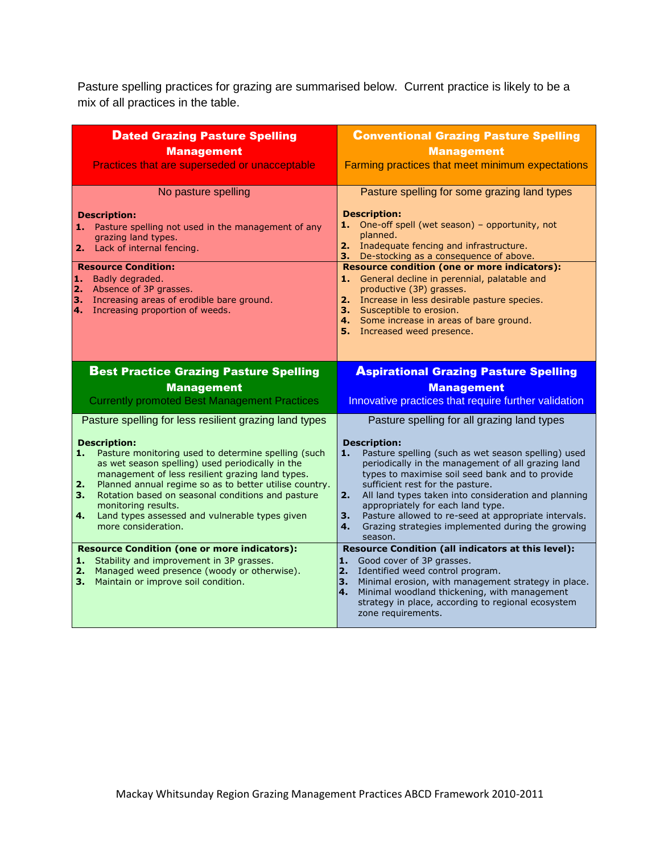Pasture spelling practices for grazing are summarised below. Current practice is likely to be a mix of all practices in the table.

| <b>Dated Grazing Pasture Spelling</b><br><b>Management</b><br>Practices that are superseded or unacceptable                                                                                                                                                                                                                                                                                                                                                                                                                                | <b>Conventional Grazing Pasture Spelling</b><br><b>Management</b><br>Farming practices that meet minimum expectations                                                                                                                                                                                                                                                                                                                                                                                                                                                            |
|--------------------------------------------------------------------------------------------------------------------------------------------------------------------------------------------------------------------------------------------------------------------------------------------------------------------------------------------------------------------------------------------------------------------------------------------------------------------------------------------------------------------------------------------|----------------------------------------------------------------------------------------------------------------------------------------------------------------------------------------------------------------------------------------------------------------------------------------------------------------------------------------------------------------------------------------------------------------------------------------------------------------------------------------------------------------------------------------------------------------------------------|
| No pasture spelling<br><b>Description:</b><br>1. Pasture spelling not used in the management of any<br>grazing land types.<br>Lack of internal fencing.<br>2. .<br><b>Resource Condition:</b><br>Badly degraded.<br>1.<br>Absence of 3P grasses.<br>2.<br>3.<br>Increasing areas of erodible bare ground.<br>4. Increasing proportion of weeds.                                                                                                                                                                                            | Pasture spelling for some grazing land types<br><b>Description:</b><br>1. One-off spell (wet season) - opportunity, not<br>planned.<br>2. Inadequate fencing and infrastructure.<br>3. De-stocking as a consequence of above.<br><b>Resource condition (one or more indicators):</b><br>1. General decline in perennial, palatable and<br>productive (3P) grasses.<br>2. Increase in less desirable pasture species.<br>3. Susceptible to erosion.<br>4. Some increase in areas of bare ground.<br>5. Increased weed presence.                                                   |
| <b>Best Practice Grazing Pasture Spelling</b><br><b>Management</b><br><b>Currently promoted Best Management Practices</b>                                                                                                                                                                                                                                                                                                                                                                                                                  | <b>Aspirational Grazing Pasture Spelling</b><br><b>Management</b><br>Innovative practices that require further validation                                                                                                                                                                                                                                                                                                                                                                                                                                                        |
| Pasture spelling for less resilient grazing land types<br><b>Description:</b><br>Pasture monitoring used to determine spelling (such<br>1.<br>as wet season spelling) used periodically in the<br>management of less resilient grazing land types.<br>Planned annual regime so as to better utilise country.<br>2.<br>Rotation based on seasonal conditions and pasture<br>З.<br>monitoring results.<br>Land types assessed and vulnerable types given<br>4.<br>more consideration.<br><b>Resource Condition (one or more indicators):</b> | Pasture spelling for all grazing land types<br><b>Description:</b><br>Pasture spelling (such as wet season spelling) used<br>1.<br>periodically in the management of all grazing land<br>types to maximise soil seed bank and to provide<br>sufficient rest for the pasture.<br>2.<br>All land types taken into consideration and planning<br>appropriately for each land type.<br>Pasture allowed to re-seed at appropriate intervals.<br>З.<br>Grazing strategies implemented during the growing<br>4.<br>season.<br><b>Resource Condition (all indicators at this level):</b> |
| Stability and improvement in 3P grasses.<br>1.<br>Managed weed presence (woody or otherwise).<br>2.<br>Maintain or improve soil condition.<br>3. .                                                                                                                                                                                                                                                                                                                                                                                         | Good cover of 3P grasses.<br>1.<br>Identified weed control program.<br>2.<br>Minimal erosion, with management strategy in place.<br>3.<br>Minimal woodland thickening, with management<br>4.<br>strategy in place, according to regional ecosystem<br>zone requirements.                                                                                                                                                                                                                                                                                                         |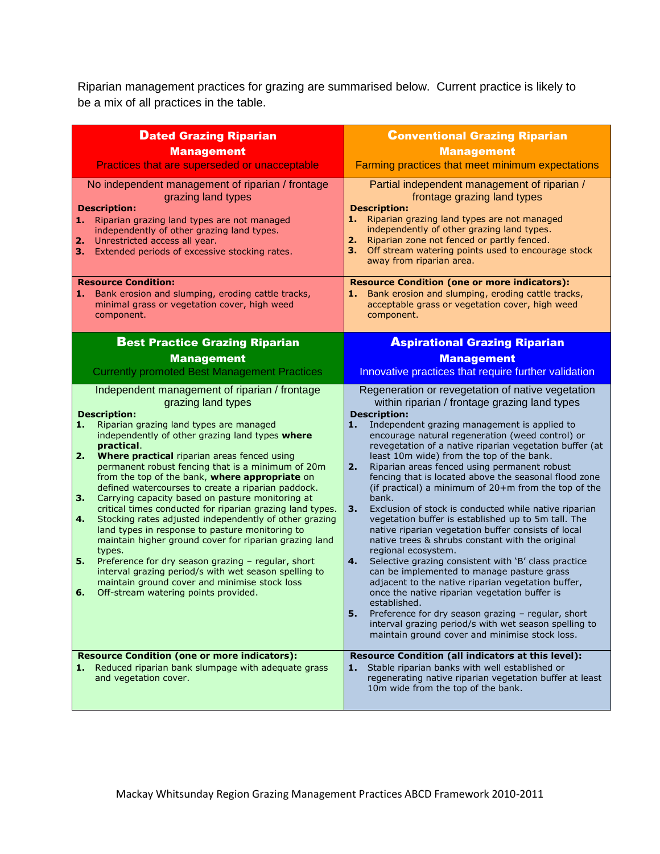Riparian management practices for grazing are summarised below. Current practice is likely to be a mix of all practices in the table.

| <b>Dated Grazing Riparian</b>                                                                                                                                                                                                                                                                                                                                                                                                                                                                                                                                                                                                                                                                                                                                                                                                                                                                                                                                    | <b>Conventional Grazing Riparian</b>                                                                                                                                                                                                                                                                                                                                                                                                                                                                                                                                                                                                                                                                                                                                                                                                                                                                                                                                                                                                                                                                                                                                                          |
|------------------------------------------------------------------------------------------------------------------------------------------------------------------------------------------------------------------------------------------------------------------------------------------------------------------------------------------------------------------------------------------------------------------------------------------------------------------------------------------------------------------------------------------------------------------------------------------------------------------------------------------------------------------------------------------------------------------------------------------------------------------------------------------------------------------------------------------------------------------------------------------------------------------------------------------------------------------|-----------------------------------------------------------------------------------------------------------------------------------------------------------------------------------------------------------------------------------------------------------------------------------------------------------------------------------------------------------------------------------------------------------------------------------------------------------------------------------------------------------------------------------------------------------------------------------------------------------------------------------------------------------------------------------------------------------------------------------------------------------------------------------------------------------------------------------------------------------------------------------------------------------------------------------------------------------------------------------------------------------------------------------------------------------------------------------------------------------------------------------------------------------------------------------------------|
| <b>Management</b>                                                                                                                                                                                                                                                                                                                                                                                                                                                                                                                                                                                                                                                                                                                                                                                                                                                                                                                                                | <b>Management</b>                                                                                                                                                                                                                                                                                                                                                                                                                                                                                                                                                                                                                                                                                                                                                                                                                                                                                                                                                                                                                                                                                                                                                                             |
| Practices that are superseded or unacceptable                                                                                                                                                                                                                                                                                                                                                                                                                                                                                                                                                                                                                                                                                                                                                                                                                                                                                                                    | Farming practices that meet minimum expectations                                                                                                                                                                                                                                                                                                                                                                                                                                                                                                                                                                                                                                                                                                                                                                                                                                                                                                                                                                                                                                                                                                                                              |
| No independent management of riparian / frontage<br>grazing land types<br><b>Description:</b><br>1. Riparian grazing land types are not managed<br>independently of other grazing land types.<br>Unrestricted access all year.<br>2.<br>Extended periods of excessive stocking rates.<br>з.                                                                                                                                                                                                                                                                                                                                                                                                                                                                                                                                                                                                                                                                      | Partial independent management of riparian /<br>frontage grazing land types<br><b>Description:</b><br>1. Riparian grazing land types are not managed<br>independently of other grazing land types.<br>Riparian zone not fenced or partly fenced.<br>2.<br>Off stream watering points used to encourage stock<br>з.<br>away from riparian area.                                                                                                                                                                                                                                                                                                                                                                                                                                                                                                                                                                                                                                                                                                                                                                                                                                                |
| <b>Resource Condition:</b><br>Bank erosion and slumping, eroding cattle tracks,<br>1.<br>minimal grass or vegetation cover, high weed<br>component.                                                                                                                                                                                                                                                                                                                                                                                                                                                                                                                                                                                                                                                                                                                                                                                                              | <b>Resource Condition (one or more indicators):</b><br>1. Bank erosion and slumping, eroding cattle tracks,<br>acceptable grass or vegetation cover, high weed<br>component.                                                                                                                                                                                                                                                                                                                                                                                                                                                                                                                                                                                                                                                                                                                                                                                                                                                                                                                                                                                                                  |
| <b>Best Practice Grazing Riparian</b>                                                                                                                                                                                                                                                                                                                                                                                                                                                                                                                                                                                                                                                                                                                                                                                                                                                                                                                            | <b>Aspirational Grazing Riparian</b>                                                                                                                                                                                                                                                                                                                                                                                                                                                                                                                                                                                                                                                                                                                                                                                                                                                                                                                                                                                                                                                                                                                                                          |
| <b>Management</b>                                                                                                                                                                                                                                                                                                                                                                                                                                                                                                                                                                                                                                                                                                                                                                                                                                                                                                                                                | <b>Management</b>                                                                                                                                                                                                                                                                                                                                                                                                                                                                                                                                                                                                                                                                                                                                                                                                                                                                                                                                                                                                                                                                                                                                                                             |
| <b>Currently promoted Best Management Practices</b>                                                                                                                                                                                                                                                                                                                                                                                                                                                                                                                                                                                                                                                                                                                                                                                                                                                                                                              | Innovative practices that require further validation                                                                                                                                                                                                                                                                                                                                                                                                                                                                                                                                                                                                                                                                                                                                                                                                                                                                                                                                                                                                                                                                                                                                          |
| Independent management of riparian / frontage<br>grazing land types<br><b>Description:</b><br>1.<br>Riparian grazing land types are managed<br>independently of other grazing land types where<br>practical.<br>2.<br>Where practical riparian areas fenced using<br>permanent robust fencing that is a minimum of 20m<br>from the top of the bank, where appropriate on<br>defined watercourses to create a riparian paddock.<br>3.<br>Carrying capacity based on pasture monitoring at<br>critical times conducted for riparian grazing land types.<br>4.<br>Stocking rates adjusted independently of other grazing<br>land types in response to pasture monitoring to<br>maintain higher ground cover for riparian grazing land<br>types.<br>5.<br>Preference for dry season grazing - regular, short<br>interval grazing period/s with wet season spelling to<br>maintain ground cover and minimise stock loss<br>6.<br>Off-stream watering points provided. | Regeneration or revegetation of native vegetation<br>within riparian / frontage grazing land types<br><b>Description:</b><br>Independent grazing management is applied to<br>1.<br>encourage natural regeneration (weed control) or<br>revegetation of a native riparian vegetation buffer (at<br>least 10m wide) from the top of the bank.<br>Riparian areas fenced using permanent robust<br>2.<br>fencing that is located above the seasonal flood zone<br>(if practical) a minimum of 20+m from the top of the<br>bank.<br>3.<br>Exclusion of stock is conducted while native riparian<br>vegetation buffer is established up to 5m tall. The<br>native riparian vegetation buffer consists of local<br>native trees & shrubs constant with the original<br>regional ecosystem.<br>4.<br>Selective grazing consistent with 'B' class practice<br>can be implemented to manage pasture grass<br>adjacent to the native riparian vegetation buffer,<br>once the native riparian vegetation buffer is<br>established.<br>Preference for dry season grazing - regular, short<br>5.<br>interval grazing period/s with wet season spelling to<br>maintain ground cover and minimise stock loss. |
| <b>Resource Condition (one or more indicators):</b><br>Reduced riparian bank slumpage with adequate grass<br>1.<br>and vegetation cover.                                                                                                                                                                                                                                                                                                                                                                                                                                                                                                                                                                                                                                                                                                                                                                                                                         | Resource Condition (all indicators at this level):<br>1. Stable riparian banks with well established or<br>regenerating native riparian vegetation buffer at least<br>10m wide from the top of the bank.                                                                                                                                                                                                                                                                                                                                                                                                                                                                                                                                                                                                                                                                                                                                                                                                                                                                                                                                                                                      |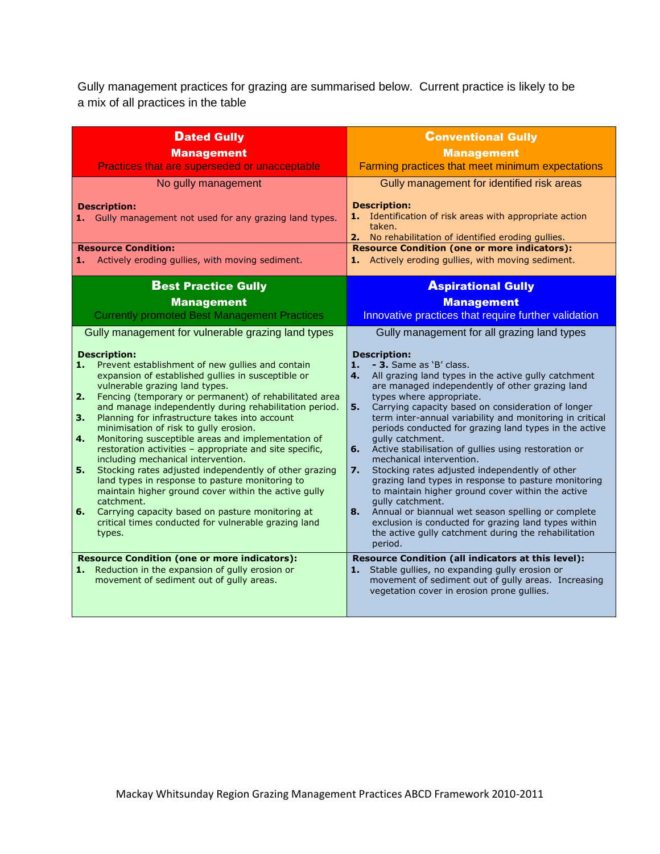Gully management practices for grazing are summarised below. Current practice is likely to be a mix of all practices in the table

| <b>Dated Gully</b><br><b>Management</b><br>Practices that are superseded or unacceptable<br>No gully management<br><b>Description:</b><br>1. Gully management not used for any grazing land types.<br><b>Resource Condition:</b><br>Actively eroding gullies, with moving sediment.<br>1.                                                                                                                                                                                                                                                                                                                                                                                                                                                                                                                                                                                                                                                 | <b>Conventional Gully</b><br><b>Management</b><br>Farming practices that meet minimum expectations<br>Gully management for identified risk areas<br><b>Description:</b><br>1. Identification of risk areas with appropriate action<br>taken.<br>2. No rehabilitation of identified eroding gullies.<br><b>Resource Condition (one or more indicators):</b><br>1. Actively eroding gullies, with moving sediment.                                                                                                                                                                                                                                                                                                                                                                                                                                                                                                                               |
|-------------------------------------------------------------------------------------------------------------------------------------------------------------------------------------------------------------------------------------------------------------------------------------------------------------------------------------------------------------------------------------------------------------------------------------------------------------------------------------------------------------------------------------------------------------------------------------------------------------------------------------------------------------------------------------------------------------------------------------------------------------------------------------------------------------------------------------------------------------------------------------------------------------------------------------------|------------------------------------------------------------------------------------------------------------------------------------------------------------------------------------------------------------------------------------------------------------------------------------------------------------------------------------------------------------------------------------------------------------------------------------------------------------------------------------------------------------------------------------------------------------------------------------------------------------------------------------------------------------------------------------------------------------------------------------------------------------------------------------------------------------------------------------------------------------------------------------------------------------------------------------------------|
| <b>Best Practice Gully</b>                                                                                                                                                                                                                                                                                                                                                                                                                                                                                                                                                                                                                                                                                                                                                                                                                                                                                                                | <b>Aspirational Gully</b>                                                                                                                                                                                                                                                                                                                                                                                                                                                                                                                                                                                                                                                                                                                                                                                                                                                                                                                      |
| <b>Management</b><br><b>Currently promoted Best Management Practices</b>                                                                                                                                                                                                                                                                                                                                                                                                                                                                                                                                                                                                                                                                                                                                                                                                                                                                  | <b>Management</b><br>Innovative practices that require further validation                                                                                                                                                                                                                                                                                                                                                                                                                                                                                                                                                                                                                                                                                                                                                                                                                                                                      |
| Gully management for vulnerable grazing land types<br><b>Description:</b><br>Prevent establishment of new gullies and contain<br>1.<br>expansion of established gullies in susceptible or<br>vulnerable grazing land types.<br>2.<br>Fencing (temporary or permanent) of rehabilitated area<br>and manage independently during rehabilitation period.<br>Planning for infrastructure takes into account<br>З.<br>minimisation of risk to gully erosion.<br>Monitoring susceptible areas and implementation of<br>4.<br>restoration activities - appropriate and site specific,<br>including mechanical intervention.<br>Stocking rates adjusted independently of other grazing<br>5.<br>land types in response to pasture monitoring to<br>maintain higher ground cover within the active gully<br>catchment.<br>6.<br>Carrying capacity based on pasture monitoring at<br>critical times conducted for vulnerable grazing land<br>types. | Gully management for all grazing land types<br><b>Description:</b><br>- 3. Same as 'B' class.<br>1.<br>4.<br>All grazing land types in the active gully catchment<br>are managed independently of other grazing land<br>types where appropriate.<br>Carrying capacity based on consideration of longer<br>5.<br>term inter-annual variability and monitoring in critical<br>periods conducted for grazing land types in the active<br>gully catchment.<br>Active stabilisation of gullies using restoration or<br>6.<br>mechanical intervention.<br>Stocking rates adjusted independently of other<br>$\overline{7}$ .<br>grazing land types in response to pasture monitoring<br>to maintain higher ground cover within the active<br>gully catchment.<br>Annual or biannual wet season spelling or complete<br>8.<br>exclusion is conducted for grazing land types within<br>the active gully catchment during the rehabilitation<br>period. |
| <b>Resource Condition (one or more indicators):</b><br>Reduction in the expansion of gully erosion or<br>1.<br>movement of sediment out of gully areas.                                                                                                                                                                                                                                                                                                                                                                                                                                                                                                                                                                                                                                                                                                                                                                                   | Resource Condition (all indicators at this level):<br>1. Stable gullies, no expanding gully erosion or<br>movement of sediment out of gully areas. Increasing<br>vegetation cover in erosion prone gullies.                                                                                                                                                                                                                                                                                                                                                                                                                                                                                                                                                                                                                                                                                                                                    |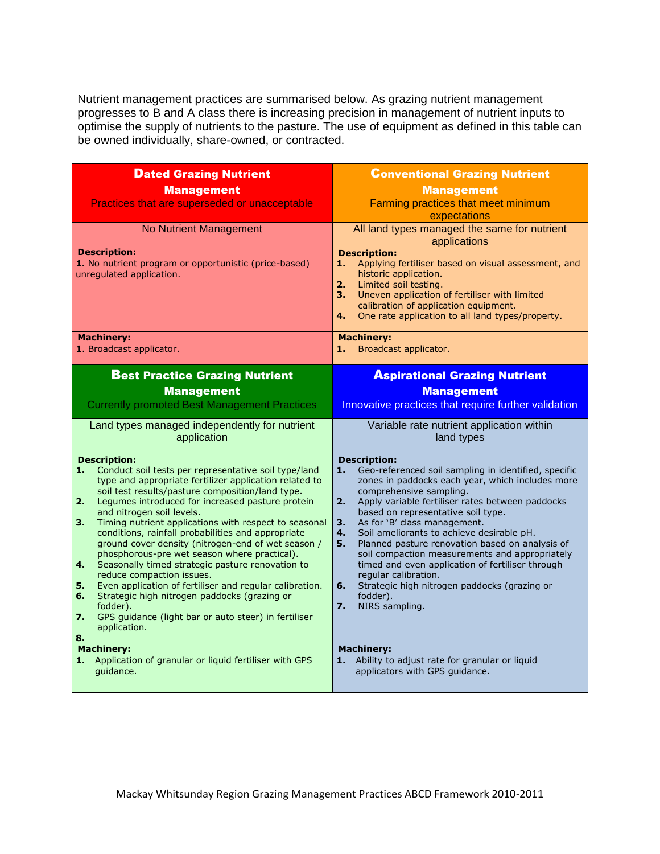Nutrient management practices are summarised below. As grazing nutrient management progresses to B and A class there is increasing precision in management of nutrient inputs to optimise the supply of nutrients to the pasture. The use of equipment as defined in this table can be owned individually, share-owned, or contracted.

| <b>Dated Grazing Nutrient</b>                                                                                        | <b>Conventional Grazing Nutrient</b>                                                                           |
|----------------------------------------------------------------------------------------------------------------------|----------------------------------------------------------------------------------------------------------------|
| <b>Management</b>                                                                                                    | <b>Management</b>                                                                                              |
| Practices that are superseded or unacceptable                                                                        | Farming practices that meet minimum                                                                            |
|                                                                                                                      | expectations                                                                                                   |
| No Nutrient Management                                                                                               | All land types managed the same for nutrient<br>applications                                                   |
| <b>Description:</b>                                                                                                  | <b>Description:</b>                                                                                            |
| 1. No nutrient program or opportunistic (price-based)                                                                | Applying fertiliser based on visual assessment, and<br>1.                                                      |
| unregulated application.                                                                                             | historic application.<br>2.<br>Limited soil testing.                                                           |
|                                                                                                                      | Uneven application of fertiliser with limited<br>3.                                                            |
|                                                                                                                      | calibration of application equipment.<br>One rate application to all land types/property.<br>4.                |
|                                                                                                                      |                                                                                                                |
| <b>Machinery:</b>                                                                                                    | <b>Machinery:</b>                                                                                              |
| 1. Broadcast applicator.                                                                                             | 1.<br>Broadcast applicator.                                                                                    |
| <b>Best Practice Grazing Nutrient</b>                                                                                | <b>Aspirational Grazing Nutrient</b>                                                                           |
| <b>Management</b>                                                                                                    | <b>Management</b>                                                                                              |
| <b>Currently promoted Best Management Practices</b>                                                                  | Innovative practices that require further validation                                                           |
|                                                                                                                      |                                                                                                                |
| Land types managed independently for nutrient                                                                        | Variable rate nutrient application within                                                                      |
| application                                                                                                          | land types                                                                                                     |
| <b>Description:</b>                                                                                                  | <b>Description:</b>                                                                                            |
| 1.<br>Conduct soil tests per representative soil type/land<br>type and appropriate fertilizer application related to | 1.<br>Geo-referenced soil sampling in identified, specific<br>zones in paddocks each year, which includes more |
| soil test results/pasture composition/land type.                                                                     | comprehensive sampling.                                                                                        |
| Legumes introduced for increased pasture protein<br>2.                                                               | Apply variable fertiliser rates between paddocks<br>2.                                                         |
| and nitrogen soil levels.<br>Timing nutrient applications with respect to seasonal<br>3.                             | based on representative soil type.<br>As for 'B' class management.<br>3.                                       |
| conditions, rainfall probabilities and appropriate                                                                   | Soil ameliorants to achieve desirable pH.<br>4.                                                                |
| ground cover density (nitrogen-end of wet season /<br>phosphorous-pre wet season where practical).                   | Planned pasture renovation based on analysis of<br>5.<br>soil compaction measurements and appropriately        |
| Seasonally timed strategic pasture renovation to<br>4.                                                               | timed and even application of fertiliser through                                                               |
| reduce compaction issues.                                                                                            | regular calibration.                                                                                           |
| Even application of fertiliser and regular calibration.<br>5.<br>Strategic high nitrogen paddocks (grazing or<br>6.  | Strategic high nitrogen paddocks (grazing or<br>6.<br>fodder).                                                 |
| fodder).                                                                                                             | $\overline{7}$ .<br>NIRS sampling.                                                                             |
| $\overline{\mathbf{z}}$<br>GPS guidance (light bar or auto steer) in fertiliser<br>application.                      |                                                                                                                |
| 8.                                                                                                                   |                                                                                                                |
| <b>Machinery:</b>                                                                                                    |                                                                                                                |
|                                                                                                                      | <b>Machinery:</b>                                                                                              |
| Application of granular or liquid fertiliser with GPS<br>1.<br>guidance.                                             | Ability to adjust rate for granular or liquid<br>1.<br>applicators with GPS guidance.                          |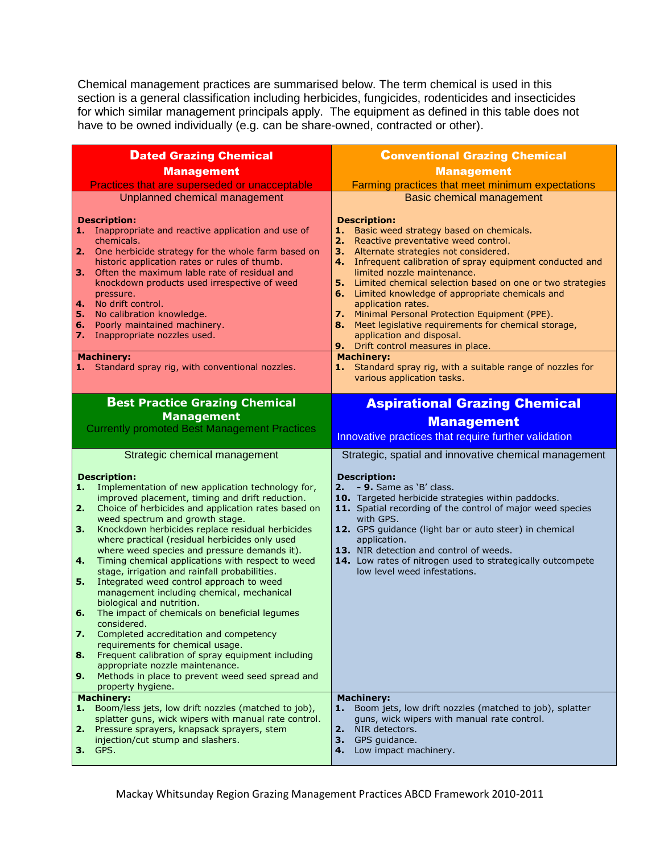Chemical management practices are summarised below. The term chemical is used in this section is a general classification including herbicides, fungicides, rodenticides and insecticides for which similar management principals apply. The equipment as defined in this table does not have to be owned individually (e.g. can be share-owned, contracted or other).

| <b>Dated Grazing Chemical</b>                                                                                                                                                                                                                                                                                                                                                                                                                                                                                                                                                                                                                                                                                                                                                                                                                                                                                                                                                                                                      | <b>Conventional Grazing Chemical</b>                                                                                                                                                                                                                                                                                                                                                                                                                                                                                                              |
|------------------------------------------------------------------------------------------------------------------------------------------------------------------------------------------------------------------------------------------------------------------------------------------------------------------------------------------------------------------------------------------------------------------------------------------------------------------------------------------------------------------------------------------------------------------------------------------------------------------------------------------------------------------------------------------------------------------------------------------------------------------------------------------------------------------------------------------------------------------------------------------------------------------------------------------------------------------------------------------------------------------------------------|---------------------------------------------------------------------------------------------------------------------------------------------------------------------------------------------------------------------------------------------------------------------------------------------------------------------------------------------------------------------------------------------------------------------------------------------------------------------------------------------------------------------------------------------------|
| <b>Management</b>                                                                                                                                                                                                                                                                                                                                                                                                                                                                                                                                                                                                                                                                                                                                                                                                                                                                                                                                                                                                                  | <b>Management</b>                                                                                                                                                                                                                                                                                                                                                                                                                                                                                                                                 |
| Practices that are superseded or unacceptable                                                                                                                                                                                                                                                                                                                                                                                                                                                                                                                                                                                                                                                                                                                                                                                                                                                                                                                                                                                      | Farming practices that meet minimum expectations                                                                                                                                                                                                                                                                                                                                                                                                                                                                                                  |
| Unplanned chemical management<br><b>Description:</b><br>1.<br>Inappropriate and reactive application and use of<br>chemicals.<br>2.<br>One herbicide strategy for the whole farm based on<br>historic application rates or rules of thumb.<br>Often the maximum lable rate of residual and<br>3.<br>knockdown products used irrespective of weed<br>pressure.<br>4<br>No drift control.<br>5.<br>No calibration knowledge.<br>Poorly maintained machinery.<br>6.                                                                                                                                                                                                                                                                                                                                                                                                                                                                                                                                                                   | Basic chemical management<br><b>Description:</b><br>Basic weed strategy based on chemicals.<br>1.<br>2.<br>Reactive preventative weed control.<br>3. Alternate strategies not considered.<br>4. Infrequent calibration of spray equipment conducted and<br>limited nozzle maintenance.<br>5. Limited chemical selection based on one or two strategies<br>6. Limited knowledge of appropriate chemicals and<br>application rates.<br>7. Minimal Personal Protection Equipment (PPE).<br>Meet legislative requirements for chemical storage,<br>8. |
| 7.<br>Inappropriate nozzles used.                                                                                                                                                                                                                                                                                                                                                                                                                                                                                                                                                                                                                                                                                                                                                                                                                                                                                                                                                                                                  | application and disposal.                                                                                                                                                                                                                                                                                                                                                                                                                                                                                                                         |
| <b>Machinery:</b><br>Standard spray rig, with conventional nozzles.<br>1.                                                                                                                                                                                                                                                                                                                                                                                                                                                                                                                                                                                                                                                                                                                                                                                                                                                                                                                                                          | 9. Drift control measures in place.<br><b>Machinery:</b><br>1. Standard spray rig, with a suitable range of nozzles for<br>various application tasks.                                                                                                                                                                                                                                                                                                                                                                                             |
| <b>Best Practice Grazing Chemical</b>                                                                                                                                                                                                                                                                                                                                                                                                                                                                                                                                                                                                                                                                                                                                                                                                                                                                                                                                                                                              | <b>Aspirational Grazing Chemical</b>                                                                                                                                                                                                                                                                                                                                                                                                                                                                                                              |
| <b>Management</b>                                                                                                                                                                                                                                                                                                                                                                                                                                                                                                                                                                                                                                                                                                                                                                                                                                                                                                                                                                                                                  | <b>Management</b>                                                                                                                                                                                                                                                                                                                                                                                                                                                                                                                                 |
| <b>Currently promoted Best Management Practices</b>                                                                                                                                                                                                                                                                                                                                                                                                                                                                                                                                                                                                                                                                                                                                                                                                                                                                                                                                                                                | Innovative practices that require further validation                                                                                                                                                                                                                                                                                                                                                                                                                                                                                              |
| Strategic chemical management<br><b>Description:</b><br>Implementation of new application technology for,<br>1.<br>improved placement, timing and drift reduction.<br>2.<br>Choice of herbicides and application rates based on<br>weed spectrum and growth stage.<br>3.<br>Knockdown herbicides replace residual herbicides<br>where practical (residual herbicides only used<br>where weed species and pressure demands it).<br>4.<br>Timing chemical applications with respect to weed<br>stage, irrigation and rainfall probabilities.<br>5.<br>Integrated weed control approach to weed<br>management including chemical, mechanical<br>biological and nutrition.<br>The impact of chemicals on beneficial legumes<br>6.<br>considered.<br>7.<br>Completed accreditation and competency<br>requirements for chemical usage.<br>8.<br>Frequent calibration of spray equipment including<br>appropriate nozzle maintenance.<br>9.<br>Methods in place to prevent weed seed spread and<br>property hygiene.<br><b>Machinery:</b> | Strategic, spatial and innovative chemical management<br><b>Description:</b><br>- 9. Same as 'B' class.<br>2.<br>10. Targeted herbicide strategies within paddocks.<br>11. Spatial recording of the control of major weed species<br>with GPS.<br>12. GPS guidance (light bar or auto steer) in chemical<br>application.<br>13. NIR detection and control of weeds.<br>14. Low rates of nitrogen used to strategically outcompete<br>low level weed infestations.<br><b>Machinery:</b>                                                            |
| Boom/less jets, low drift nozzles (matched to job),<br>1.<br>splatter guns, wick wipers with manual rate control.<br>Pressure sprayers, knapsack sprayers, stem<br>2.<br>injection/cut stump and slashers.<br><b>3.</b> GPS.                                                                                                                                                                                                                                                                                                                                                                                                                                                                                                                                                                                                                                                                                                                                                                                                       | Boom jets, low drift nozzles (matched to job), splatter<br>1.<br>guns, wick wipers with manual rate control.<br>NIR detectors.<br>2.<br>3.<br>GPS guidance.<br>Low impact machinery.<br>4.                                                                                                                                                                                                                                                                                                                                                        |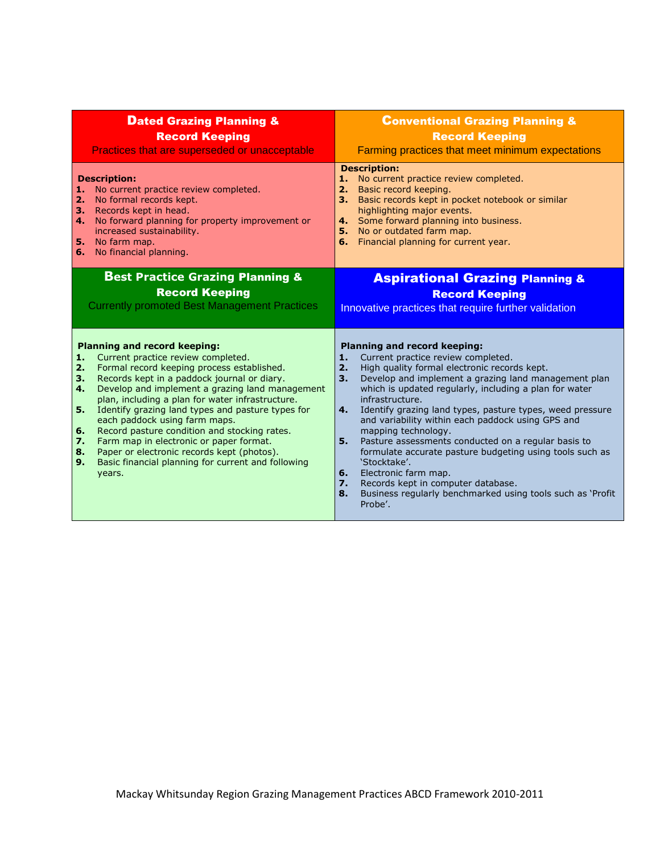| <b>Dated Grazing Planning &amp;</b>                                                                                                                                                                                                                                                                                                                                                                                                                                                                                                                                                                                                | <b>Conventional Grazing Planning &amp;</b>                                                                                                                                                                                                                                                                                                                                                                                                                                                                                                                                                                                                                                                                                        |
|------------------------------------------------------------------------------------------------------------------------------------------------------------------------------------------------------------------------------------------------------------------------------------------------------------------------------------------------------------------------------------------------------------------------------------------------------------------------------------------------------------------------------------------------------------------------------------------------------------------------------------|-----------------------------------------------------------------------------------------------------------------------------------------------------------------------------------------------------------------------------------------------------------------------------------------------------------------------------------------------------------------------------------------------------------------------------------------------------------------------------------------------------------------------------------------------------------------------------------------------------------------------------------------------------------------------------------------------------------------------------------|
| <b>Record Keeping</b>                                                                                                                                                                                                                                                                                                                                                                                                                                                                                                                                                                                                              | <b>Record Keeping</b>                                                                                                                                                                                                                                                                                                                                                                                                                                                                                                                                                                                                                                                                                                             |
| Practices that are superseded or unacceptable                                                                                                                                                                                                                                                                                                                                                                                                                                                                                                                                                                                      | Farming practices that meet minimum expectations                                                                                                                                                                                                                                                                                                                                                                                                                                                                                                                                                                                                                                                                                  |
| <b>Description:</b><br>No current practice review completed.<br>1.<br>No formal records kept.<br>2.<br>Records kept in head.<br>з.<br>No forward planning for property improvement or<br>4.<br>increased sustainability.<br>5. No farm map.<br>6. No financial planning.                                                                                                                                                                                                                                                                                                                                                           | <b>Description:</b><br>No current practice review completed.<br>1.<br>2. Basic record keeping.<br>Basic records kept in pocket notebook or similar<br>з.<br>highlighting major events.<br>4. Some forward planning into business.<br>5. No or outdated farm map.<br>6. Financial planning for current year.                                                                                                                                                                                                                                                                                                                                                                                                                       |
| <b>Best Practice Grazing Planning &amp;</b>                                                                                                                                                                                                                                                                                                                                                                                                                                                                                                                                                                                        | <b>Aspirational Grazing Planning &amp;</b>                                                                                                                                                                                                                                                                                                                                                                                                                                                                                                                                                                                                                                                                                        |
| <b>Record Keeping</b>                                                                                                                                                                                                                                                                                                                                                                                                                                                                                                                                                                                                              | <b>Record Keeping</b>                                                                                                                                                                                                                                                                                                                                                                                                                                                                                                                                                                                                                                                                                                             |
| <b>Currently promoted Best Management Practices</b>                                                                                                                                                                                                                                                                                                                                                                                                                                                                                                                                                                                | Innovative practices that require further validation                                                                                                                                                                                                                                                                                                                                                                                                                                                                                                                                                                                                                                                                              |
| <b>Planning and record keeping:</b><br>Current practice review completed.<br>1.<br>Formal record keeping process established.<br>2.<br>Records kept in a paddock journal or diary.<br>3.<br>Develop and implement a grazing land management<br>4.<br>plan, including a plan for water infrastructure.<br>Identify grazing land types and pasture types for<br>5.<br>each paddock using farm maps.<br>Record pasture condition and stocking rates.<br>6.<br>Farm map in electronic or paper format.<br>7.<br>Paper or electronic records kept (photos).<br>8.<br>Basic financial planning for current and following<br>9.<br>years. | <b>Planning and record keeping:</b><br>Current practice review completed.<br>1.<br>High quality formal electronic records kept.<br>2.<br>Develop and implement a grazing land management plan<br>3.<br>which is updated regularly, including a plan for water<br>infrastructure.<br>Identify grazing land types, pasture types, weed pressure<br>4.<br>and variability within each paddock using GPS and<br>mapping technology.<br>Pasture assessments conducted on a regular basis to<br>5.<br>formulate accurate pasture budgeting using tools such as<br>'Stocktake'.<br>Electronic farm map.<br>6.<br>Records kept in computer database.<br>7.<br>Business regularly benchmarked using tools such as 'Profit<br>8.<br>Probe'. |